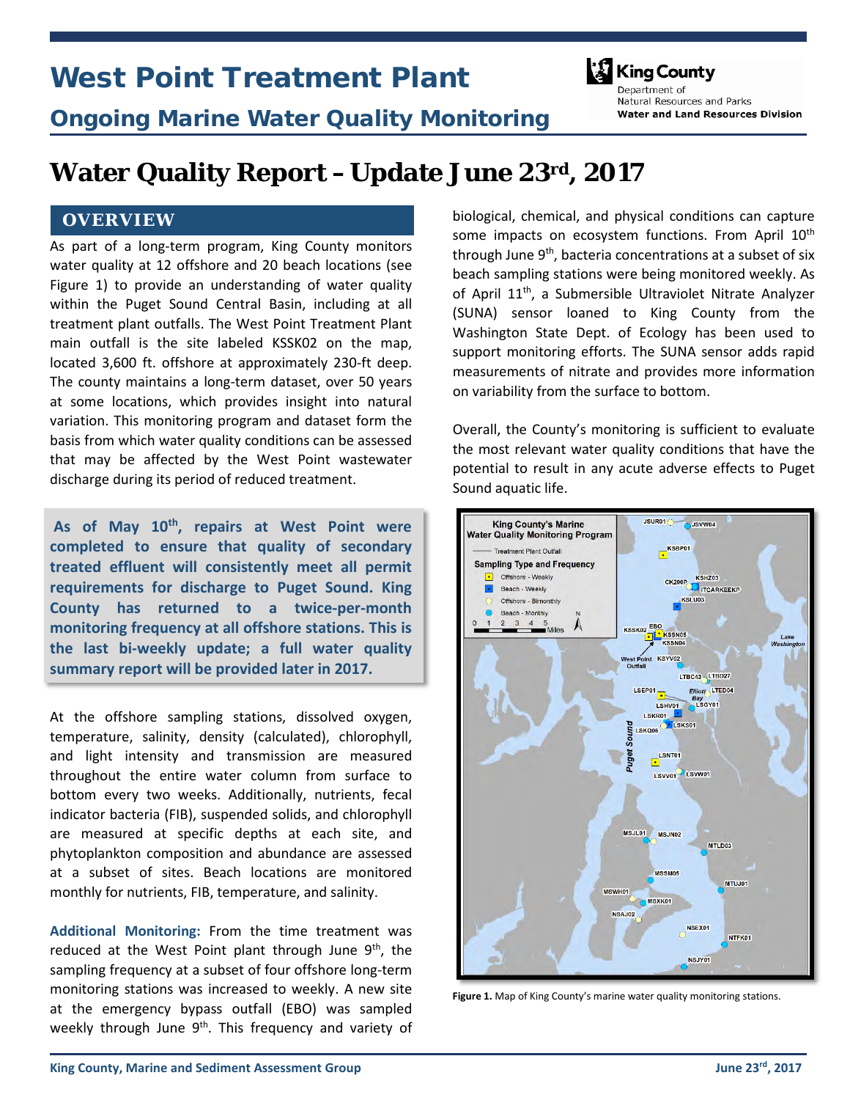# West Point Treatment Plant



Ongoing Marine Water Quality Monitoring

Department of Natural Resources and Parks **Water and Land Resources Division** 

## **Water Quality Report –Update June 23rd, 2017**

#### **OVERVIEW**

As part of a long-term program, King County monitors water quality at 12 offshore and 20 beach locations (see Figure 1) to provide an understanding of water quality within the Puget Sound Central Basin, including at all treatment plant outfalls. The West Point Treatment Plant main outfall is the site labeled KSSK02 on the map, located 3,600 ft. offshore at approximately 230-ft deep. The county maintains a long-term dataset, over 50 years at some locations, which provides insight into natural variation. This monitoring program and dataset form the basis from which water quality conditions can be assessed that may be affected by the West Point wastewater discharge during its period of reduced treatment.

As of May 10<sup>th</sup>, repairs at West Point were **completed to ensure that quality of secondary treated effluent will consistently meet all permit requirements for discharge to Puget Sound. King County has returned to a twice-per-month monitoring frequency at all offshore stations. This is the last bi-weekly update; a full water quality summary report will be provided later in 2017.** 

At the offshore sampling stations, dissolved oxygen, temperature, salinity, density (calculated), chlorophyll, and light intensity and transmission are measured throughout the entire water column from surface to bottom every two weeks. Additionally, nutrients, fecal indicator bacteria (FIB), suspended solids, and chlorophyll are measured at specific depths at each site, and phytoplankton composition and abundance are assessed at a subset of sites. Beach locations are monitored monthly for nutrients, FIB, temperature, and salinity.

**Additional Monitoring:** From the time treatment was reduced at the West Point plant through June  $9<sup>th</sup>$ , the sampling frequency at a subset of four offshore long-term monitoring stations was increased to weekly. A new site at the emergency bypass outfall (EBO) was sampled weekly through June  $9<sup>th</sup>$ . This frequency and variety of biological, chemical, and physical conditions can capture some impacts on ecosystem functions. From April 10<sup>th</sup> through June  $9<sup>th</sup>$ , bacteria concentrations at a subset of six beach sampling stations were being monitored weekly. As of April 11<sup>th</sup>, a Submersible Ultraviolet Nitrate Analyzer (SUNA) sensor loaned to King County from the Washington State Dept. of Ecology has been used to support monitoring efforts. The SUNA sensor adds rapid measurements of nitrate and provides more information on variability from the surface to bottom.

Overall, the County's monitoring is sufficient to evaluate the most relevant water quality conditions that have the potential to result in any acute adverse effects to Puget Sound aquatic life.



**Figure 1.** Map of King County's marine water quality monitoring stations.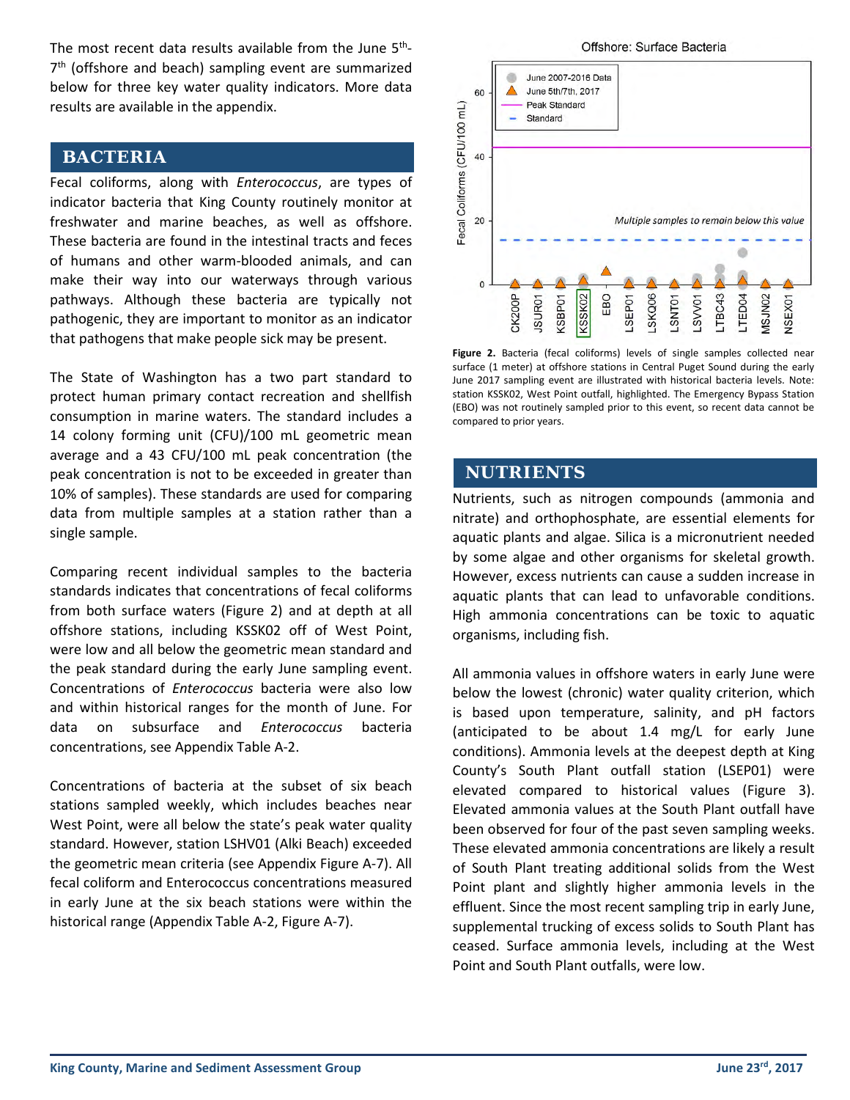The most recent data results available from the June  $5<sup>th</sup>$ -7<sup>th</sup> (offshore and beach) sampling event are summarized below for three key water quality indicators. More data results are available in the appendix.

#### **BACTERIA**

Fecal coliforms, along with *Enterococcus*, are types of indicator bacteria that King County routinely monitor at freshwater and marine beaches, as well as offshore. These bacteria are found in the intestinal tracts and feces of humans and other warm-blooded animals, and can make their way into our waterways through various pathways. Although these bacteria are typically not pathogenic, they are important to monitor as an indicator that pathogens that make people sick may be present.

The State of Washington has a two part standard to protect human primary contact recreation and shellfish consumption in marine waters. The standard includes a 14 colony forming unit (CFU)/100 mL geometric mean average and a 43 CFU/100 mL peak concentration (the peak concentration is not to be exceeded in greater than 10% of samples). These standards are used for comparing data from multiple samples at a station rather than a single sample.

Comparing recent individual samples to the bacteria standards indicates that concentrations of fecal coliforms from both surface waters (Figure 2) and at depth at all offshore stations, including KSSK02 off of West Point, were low and all below the geometric mean standard and the peak standard during the early June sampling event. Concentrations of *Enterococcus* bacteria were also low and within historical ranges for the month of June. For data on subsurface and *Enterococcus* bacteria concentrations, see Appendix Table A-2.

Concentrations of bacteria at the subset of six beach stations sampled weekly, which includes beaches near West Point, were all below the state's peak water quality standard. However, station LSHV01 (Alki Beach) exceeded the geometric mean criteria (see Appendix Figure A-7). All fecal coliform and Enterococcus concentrations measured in early June at the six beach stations were within the historical range (Appendix Table A-2, Figure A-7).



**Figure 2.** Bacteria (fecal coliforms) levels of single samples collected near surface (1 meter) at offshore stations in Central Puget Sound during the early June 2017 sampling event are illustrated with historical bacteria levels. Note: station KSSK02, West Point outfall, highlighted. The Emergency Bypass Station (EBO) was not routinely sampled prior to this event, so recent data cannot be compared to prior years.

#### **NUTRIENTS**

Nutrients, such as nitrogen compounds (ammonia and nitrate) and orthophosphate, are essential elements for aquatic plants and algae. Silica is a micronutrient needed by some algae and other organisms for skeletal growth. However, excess nutrients can cause a sudden increase in aquatic plants that can lead to unfavorable conditions. High ammonia concentrations can be toxic to aquatic organisms, including fish.

All ammonia values in offshore waters in early June were below the lowest (chronic) water quality criterion, which is based upon temperature, salinity, and pH factors (anticipated to be about 1.4 mg/L for early June conditions). Ammonia levels at the deepest depth at King County's South Plant outfall station (LSEP01) were elevated compared to historical values (Figure 3). Elevated ammonia values at the South Plant outfall have been observed for four of the past seven sampling weeks. These elevated ammonia concentrations are likely a result of South Plant treating additional solids from the West Point plant and slightly higher ammonia levels in the effluent. Since the most recent sampling trip in early June, supplemental trucking of excess solids to South Plant has ceased. Surface ammonia levels, including at the West Point and South Plant outfalls, were low.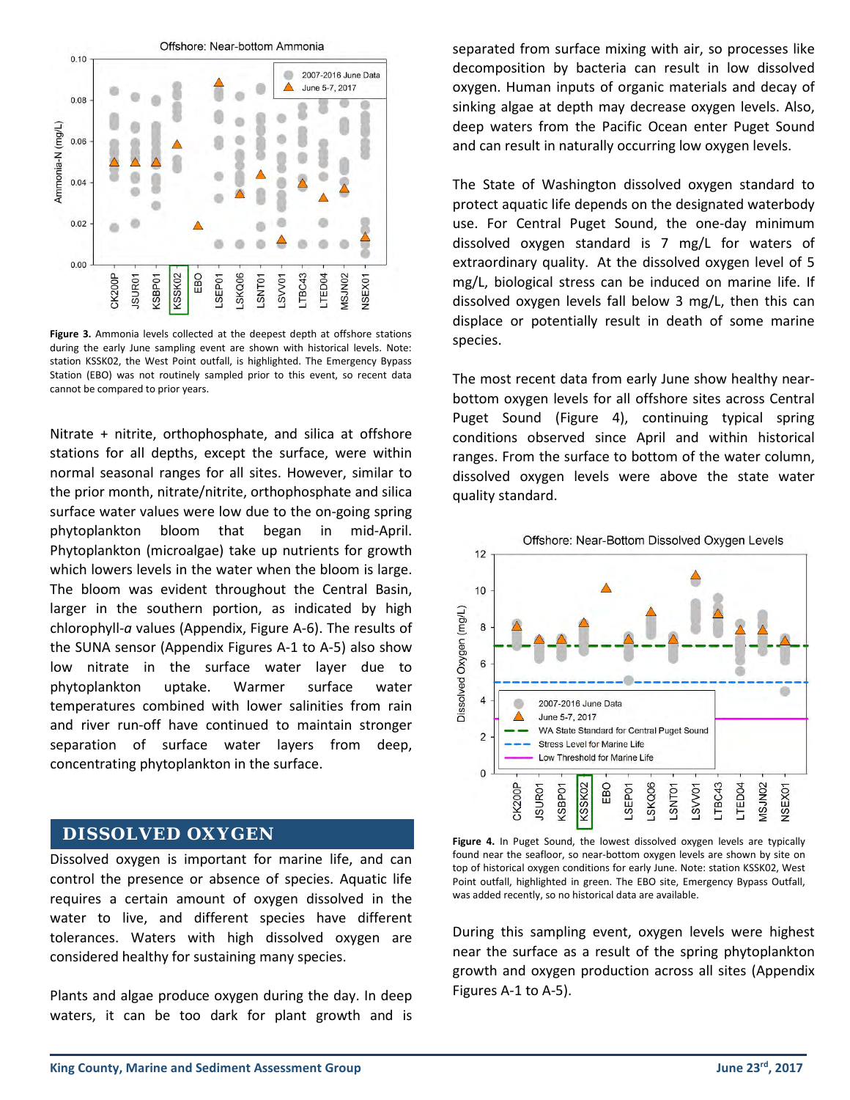

**Figure 3.** Ammonia levels collected at the deepest depth at offshore stations during the early June sampling event are shown with historical levels. Note: station KSSK02, the West Point outfall, is highlighted. The Emergency Bypass Station (EBO) was not routinely sampled prior to this event, so recent data cannot be compared to prior years.

Nitrate + nitrite, orthophosphate, and silica at offshore stations for all depths, except the surface, were within normal seasonal ranges for all sites. However, similar to the prior month, nitrate/nitrite, orthophosphate and silica surface water values were low due to the on-going spring phytoplankton bloom that began in mid-April. Phytoplankton (microalgae) take up nutrients for growth which lowers levels in the water when the bloom is large. The bloom was evident throughout the Central Basin, larger in the southern portion, as indicated by high chlorophyll-*a* values (Appendix, Figure A-6). The results of the SUNA sensor (Appendix Figures A-1 to A-5) also show low nitrate in the surface water layer due to phytoplankton uptake. Warmer surface water temperatures combined with lower salinities from rain and river run-off have continued to maintain stronger separation of surface water layers from deep, concentrating phytoplankton in the surface.

#### **DISSOLVED OXYGEN**

Dissolved oxygen is important for marine life, and can control the presence or absence of species. Aquatic life requires a certain amount of oxygen dissolved in the water to live, and different species have different tolerances. Waters with high dissolved oxygen are considered healthy for sustaining many species.

Plants and algae produce oxygen during the day. In deep waters, it can be too dark for plant growth and is separated from surface mixing with air, so processes like decomposition by bacteria can result in low dissolved oxygen. Human inputs of organic materials and decay of sinking algae at depth may decrease oxygen levels. Also, deep waters from the Pacific Ocean enter Puget Sound and can result in naturally occurring low oxygen levels.

The State of Washington dissolved oxygen standard to protect aquatic life depends on the designated waterbody use. For Central Puget Sound, the one-day minimum dissolved oxygen standard is 7 mg/L for waters of extraordinary quality. At the dissolved oxygen level of 5 mg/L, biological stress can be induced on marine life. If dissolved oxygen levels fall below 3 mg/L, then this can displace or potentially result in death of some marine species.

The most recent data from early June show healthy nearbottom oxygen levels for all offshore sites across Central Puget Sound (Figure 4), continuing typical spring conditions observed since April and within historical ranges. From the surface to bottom of the water column, dissolved oxygen levels were above the state water quality standard.



**Figure 4.** In Puget Sound, the lowest dissolved oxygen levels are typically found near the seafloor, so near-bottom oxygen levels are shown by site on top of historical oxygen conditions for early June. Note: station KSSK02, West Point outfall, highlighted in green. The EBO site, Emergency Bypass Outfall, was added recently, so no historical data are available.

During this sampling event, oxygen levels were highest near the surface as a result of the spring phytoplankton growth and oxygen production across all sites (Appendix Figures A-1 to A-5).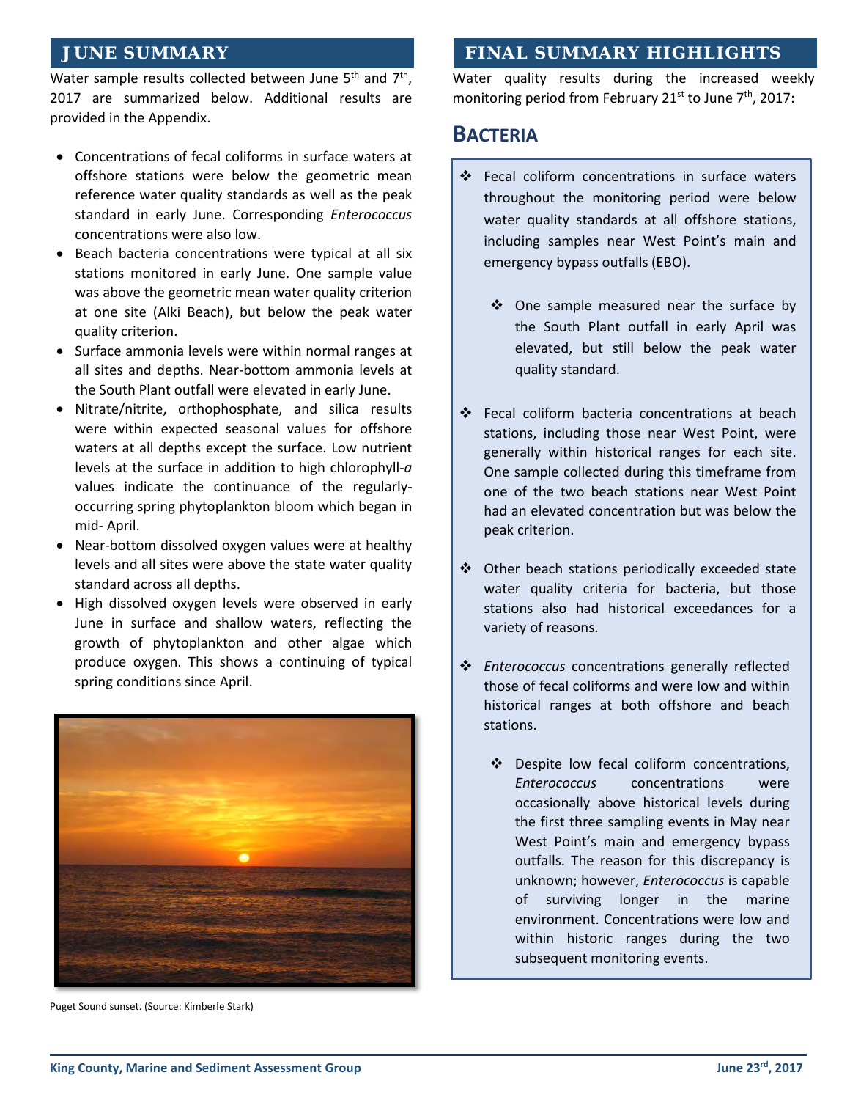#### **JUNE SUMMARY**

Water sample results collected between June  $5<sup>th</sup>$  and  $7<sup>th</sup>$ . 2017 are summarized below. Additional results are provided in the Appendix.

- Concentrations of fecal coliforms in surface waters at offshore stations were below the geometric mean reference water quality standards as well as the peak standard in early June. Corresponding *Enterococcus* concentrations were also low.
- Beach bacteria concentrations were typical at all six stations monitored in early June. One sample value was above the geometric mean water quality criterion at one site (Alki Beach), but below the peak water quality criterion.
- Surface ammonia levels were within normal ranges at all sites and depths. Near-bottom ammonia levels at the South Plant outfall were elevated in early June.
- Nitrate/nitrite, orthophosphate, and silica results were within expected seasonal values for offshore waters at all depths except the surface. Low nutrient levels at the surface in addition to high chlorophyll-*a*  values indicate the continuance of the regularlyoccurring spring phytoplankton bloom which began in mid- April.
- Near-bottom dissolved oxygen values were at healthy levels and all sites were above the state water quality standard across all depths.
- High dissolved oxygen levels were observed in early June in surface and shallow waters, reflecting the growth of phytoplankton and other algae which produce oxygen. This shows a continuing of typical spring conditions since April.



Puget Sound sunset. (Source: Kimberle Stark)

#### **FINAL SUMMARY HIGHLIGHTS**

Water quality results during the increased weekly monitoring period from February 21<sup>st</sup> to June  $7<sup>th</sup>$ , 2017:

#### **BACTERIA**

- Fecal coliform concentrations in surface waters throughout the monitoring period were below water quality standards at all offshore stations, including samples near West Point's main and emergency bypass outfalls (EBO).
	- ❖ One sample measured near the surface by the South Plant outfall in early April was elevated, but still below the peak water quality standard.
- Fecal coliform bacteria concentrations at beach stations, including those near West Point, were generally within historical ranges for each site. One sample collected during this timeframe from one of the two beach stations near West Point had an elevated concentration but was below the peak criterion.
- Other beach stations periodically exceeded state water quality criteria for bacteria, but those stations also had historical exceedances for a variety of reasons.
- *Enterococcus* concentrations generally reflected those of fecal coliforms and were low and within historical ranges at both offshore and beach stations.
	- ❖ Despite low fecal coliform concentrations, *Enterococcus* concentrations were occasionally above historical levels during the first three sampling events in May near West Point's main and emergency bypass outfalls. The reason for this discrepancy is unknown; however, *Enterococcus* is capable of surviving longer in the marine environment. Concentrations were low and within historic ranges during the two subsequent monitoring events.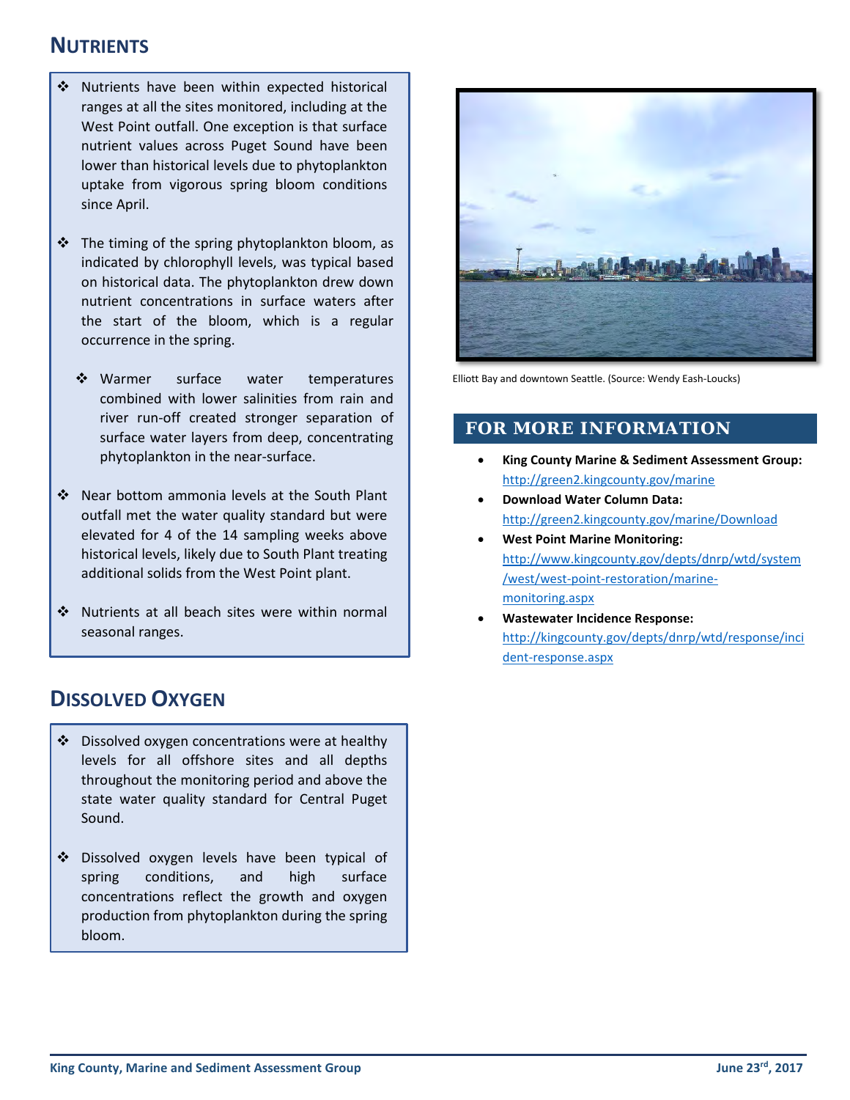### **NUTRIENTS**

- ❖ Nutrients have been within expected historical ranges at all the sites monitored, including at the West Point outfall. One exception is that surface nutrient values across Puget Sound have been lower than historical levels due to phytoplankton uptake from vigorous spring bloom conditions since April.
- $\div$  The timing of the spring phytoplankton bloom, as indicated by chlorophyll levels, was typical based on historical data. The phytoplankton drew down nutrient concentrations in surface waters after the start of the bloom, which is a regular occurrence in the spring.
	- ❖ Warmer surface water temperatures combined with lower salinities from rain and river run-off created stronger separation of surface water layers from deep, concentrating phytoplankton in the near-surface.
- Near bottom ammonia levels at the South Plant outfall met the water quality standard but were elevated for 4 of the 14 sampling weeks above historical levels, likely due to South Plant treating additional solids from the West Point plant.
- Nutrients at all beach sites were within normal seasonal ranges.

## **DISSOLVED OXYGEN**

- ❖ Dissolved oxygen concentrations were at healthy levels for all offshore sites and all depths throughout the monitoring period and above the state water quality standard for Central Puget Sound.
- Dissolved oxygen levels have been typical of spring conditions, and high surface concentrations reflect the growth and oxygen production from phytoplankton during the spring bloom.



Elliott Bay and downtown Seattle. (Source: Wendy Eash-Loucks)

#### **FOR MORE INFORMATION**

- **King County Marine & Sediment Assessment Group:** <http://green2.kingcounty.gov/marine>
- **Download Water Column Data:**  <http://green2.kingcounty.gov/marine/Download>
- **West Point Marine Monitoring:** [http://www.kingcounty.gov/depts/dnrp/wtd/system](http://www.kingcounty.gov/depts/dnrp/wtd/system/west/west-point-restoration/marine-monitoring.aspx) [/west/west-point-restoration/marine](http://www.kingcounty.gov/depts/dnrp/wtd/system/west/west-point-restoration/marine-monitoring.aspx)[monitoring.aspx](http://www.kingcounty.gov/depts/dnrp/wtd/system/west/west-point-restoration/marine-monitoring.aspx)
- **Wastewater Incidence Response:** [http://kingcounty.gov/depts/dnrp/wtd/response/inci](http://kingcounty.gov/depts/dnrp/wtd/response/incident-response.aspx) [dent-response.aspx](http://kingcounty.gov/depts/dnrp/wtd/response/incident-response.aspx)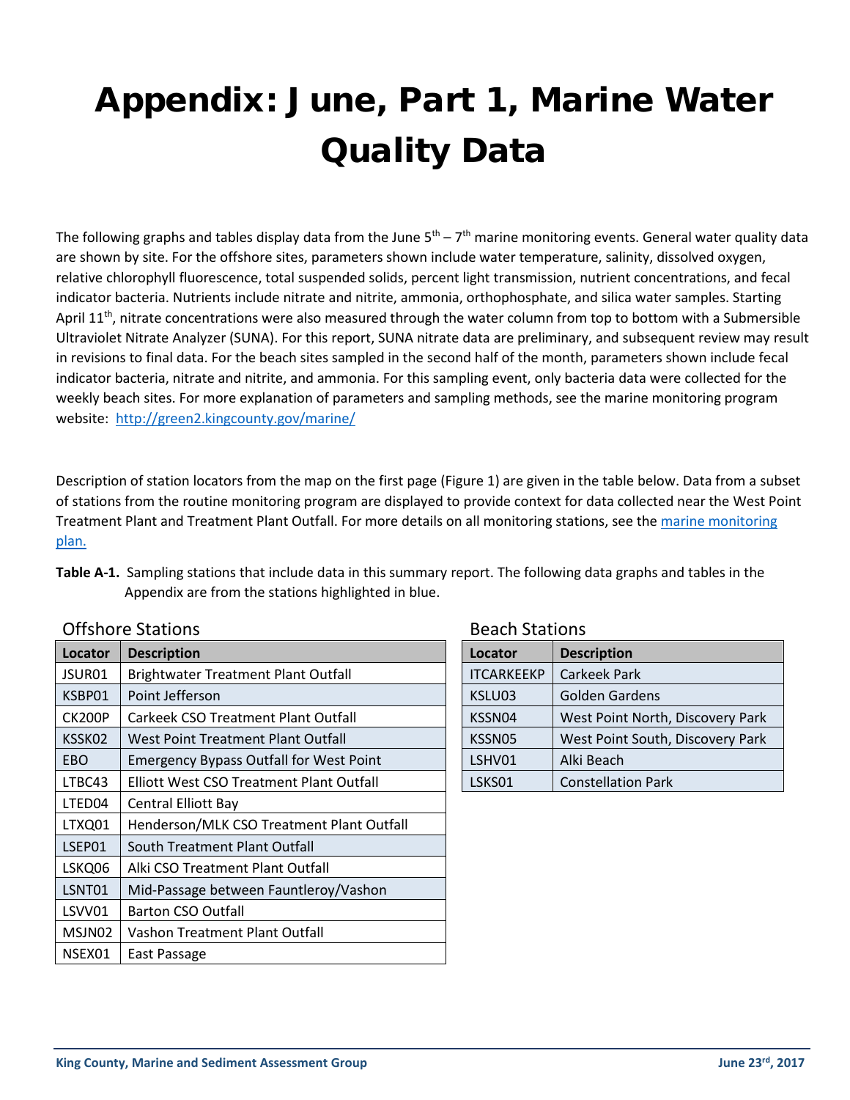# Appendix: June, Part 1, Marine Water Quality Data

The following graphs and tables display data from the June  $5<sup>th</sup> - 7<sup>th</sup>$  marine monitoring events. General water quality data are shown by site. For the offshore sites, parameters shown include water temperature, salinity, dissolved oxygen, relative chlorophyll fluorescence, total suspended solids, percent light transmission, nutrient concentrations, and fecal indicator bacteria. Nutrients include nitrate and nitrite, ammonia, orthophosphate, and silica water samples. Starting April 11<sup>th</sup>, nitrate concentrations were also measured through the water column from top to bottom with a Submersible Ultraviolet Nitrate Analyzer (SUNA). For this report, SUNA nitrate data are preliminary, and subsequent review may result in revisions to final data. For the beach sites sampled in the second half of the month, parameters shown include fecal indicator bacteria, nitrate and nitrite, and ammonia. For this sampling event, only bacteria data were collected for the weekly beach sites. For more explanation of parameters and sampling methods, see the marine monitoring program website: <http://green2.kingcounty.gov/marine/>

Description of station locators from the map on the first page (Figure 1) are given in the table below. Data from a subset of stations from the routine monitoring program are displayed to provide context for data collected near the West Point Treatment Plant and Treatment Plant Outfall. For more details on all monitoring stations, see the [marine monitoring](http://edit.kingcounty.gov/%7E/media/depts/dnrp/wtd/system/WP/restoration-monitoring/2017-03-10-KingCo-marine-monitoring_plan.ashx?la=en)  [plan.](http://edit.kingcounty.gov/%7E/media/depts/dnrp/wtd/system/WP/restoration-monitoring/2017-03-10-KingCo-marine-monitoring_plan.ashx?la=en)

| UITSHULE STATIONS |                                                | Dedlii Stations                            |                                  |  |
|-------------------|------------------------------------------------|--------------------------------------------|----------------------------------|--|
| Locator           | <b>Description</b>                             | Locator                                    | <b>Description</b>               |  |
| JSUR01            | <b>Brightwater Treatment Plant Outfall</b>     | <b>ITCARKEEKP</b>                          | Carkeek Park                     |  |
| KSBP01            | Point Jefferson                                | KSLU03                                     | <b>Golden Gardens</b>            |  |
| CK200P            | <b>Carkeek CSO Treatment Plant Outfall</b>     | West Point North, Discovery Park<br>KSSN04 |                                  |  |
| KSSK02            | West Point Treatment Plant Outfall             | KSSN05                                     | West Point South, Discovery Park |  |
| EBO.              | <b>Emergency Bypass Outfall for West Point</b> | LSHV01                                     | Alki Beach                       |  |
| LTBC43            | Elliott West CSO Treatment Plant Outfall       | LSKS01                                     | <b>Constellation Park</b>        |  |
| LTED04            | Central Elliott Bay                            |                                            |                                  |  |
| LTXQ01            | Henderson/MLK CSO Treatment Plant Outfall      |                                            |                                  |  |
| LSEP01            | South Treatment Plant Outfall                  |                                            |                                  |  |
| LSKQ06            | Alki CSO Treatment Plant Outfall               |                                            |                                  |  |
| LSNT01            | Mid-Passage between Fauntleroy/Vashon          |                                            |                                  |  |
| LSVV01            | <b>Barton CSO Outfall</b>                      |                                            |                                  |  |
| MSJN02            | Vashon Treatment Plant Outfall                 |                                            |                                  |  |
| NSEX01            | East Passage                                   |                                            |                                  |  |
|                   |                                                |                                            |                                  |  |

 $Offchoero$   $C+otione$ 

| Table A-1. Sampling stations that include data in this summary report. The following data graphs and tables in the |
|--------------------------------------------------------------------------------------------------------------------|
| Appendix are from the stations highlighted in blue.                                                                |

| Beach Stations    |                                  |  |  |  |  |
|-------------------|----------------------------------|--|--|--|--|
| Locator           | <b>Description</b>               |  |  |  |  |
| <b>ITCARKEEKP</b> | Carkeek Park                     |  |  |  |  |
| KSLU03            | Golden Gardens                   |  |  |  |  |
| KSSN04            | West Point North, Discovery Park |  |  |  |  |
| KSSN05            | West Point South, Discovery Park |  |  |  |  |
| LSHV01            | Alki Beach                       |  |  |  |  |
| LSKS01            | <b>Constellation Park</b>        |  |  |  |  |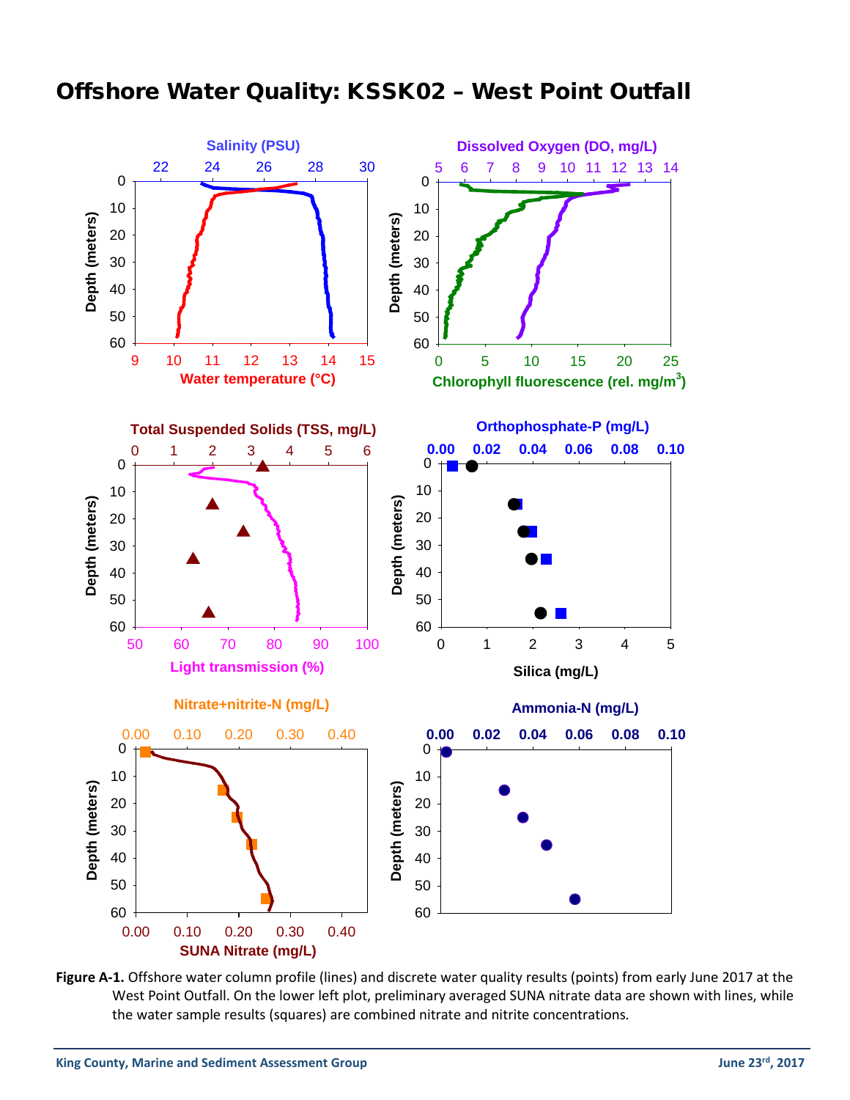### Offshore Water Quality: KSSK02 – West Point Outfall



Figure A-1. Offshore water column profile (lines) and discrete water quality results (points) from early June 2017 at the West Point Outfall. On the lower left plot, preliminary averaged SUNA nitrate data are shown with lines, while the water sample results (squares) are combined nitrate and nitrite concentrations*.*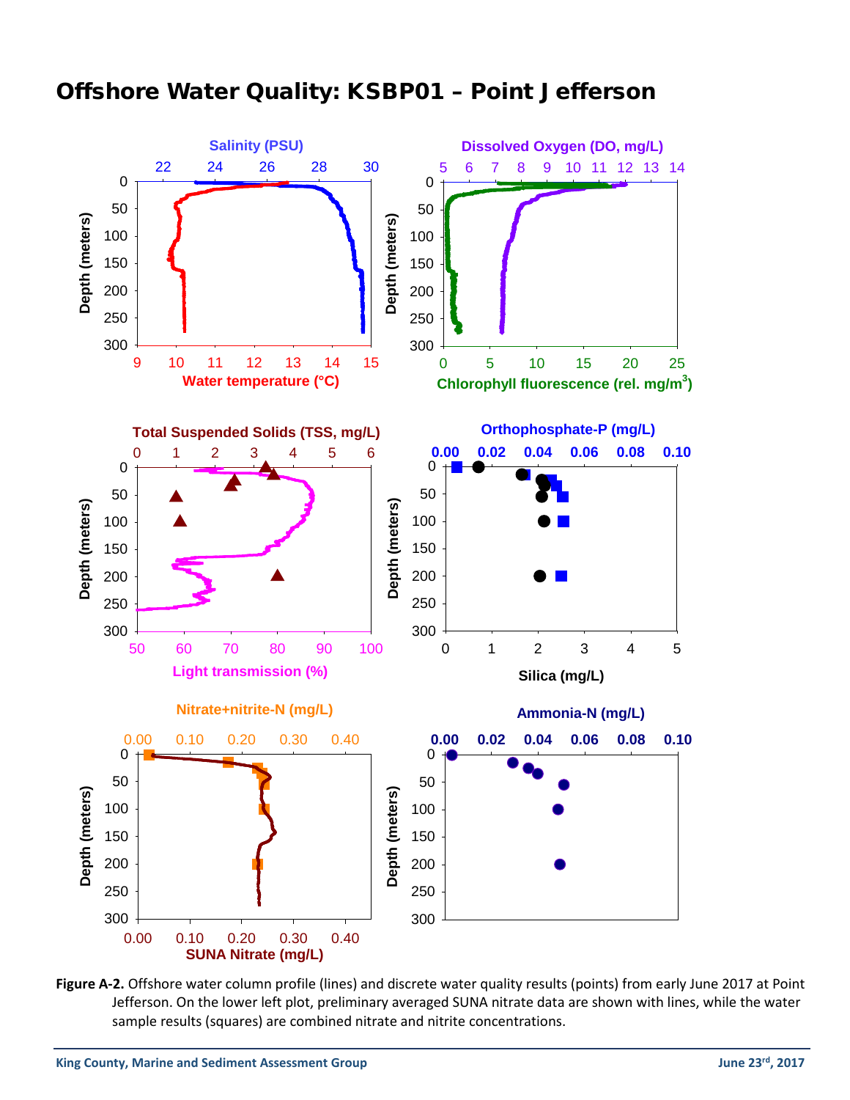## Offshore Water Quality: KSBP01 – Point Jefferson



**Figure A-2.** Offshore water column profile (lines) and discrete water quality results (points) from early June 2017 at Point Jefferson. On the lower left plot, preliminary averaged SUNA nitrate data are shown with lines, while the water sample results (squares) are combined nitrate and nitrite concentrations.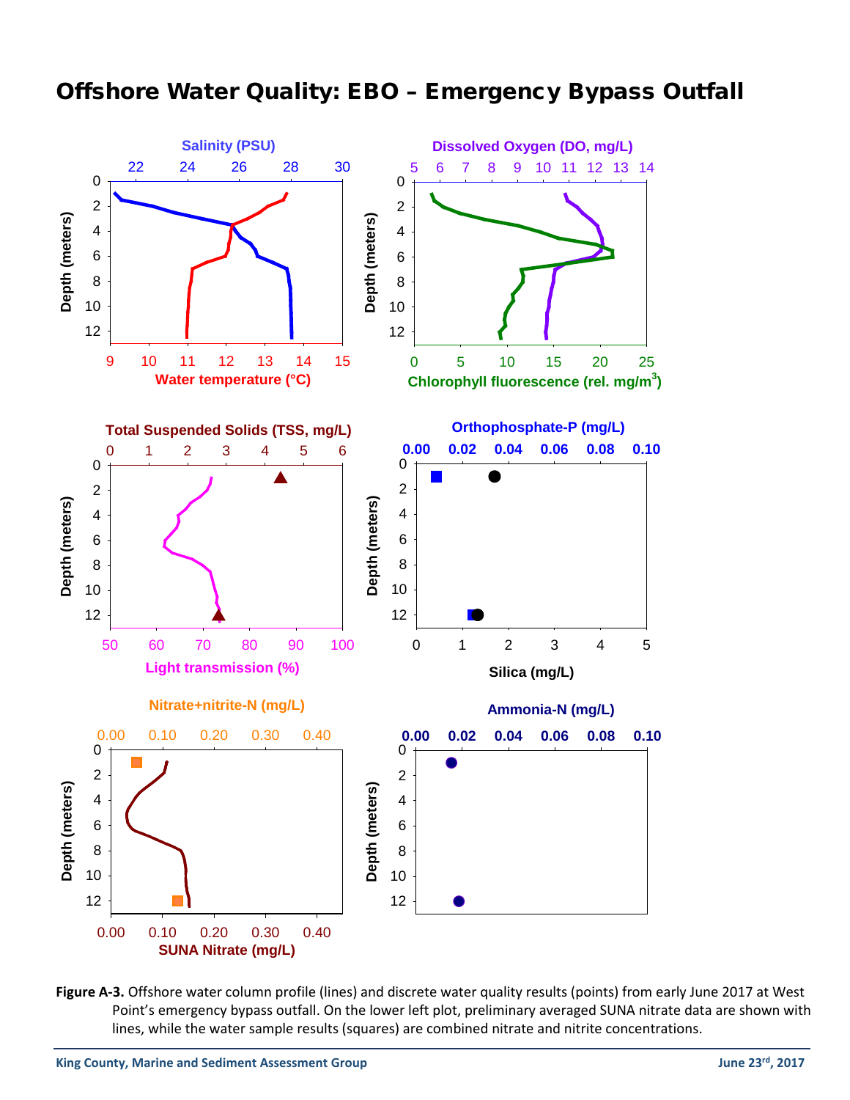## Offshore Water Quality: EBO – Emergency Bypass Outfall



Figure A-3. Offshore water column profile (lines) and discrete water quality results (points) from early June 2017 at West Point's emergency bypass outfall. On the lower left plot, preliminary averaged SUNA nitrate data are shown with lines, while the water sample results (squares) are combined nitrate and nitrite concentrations.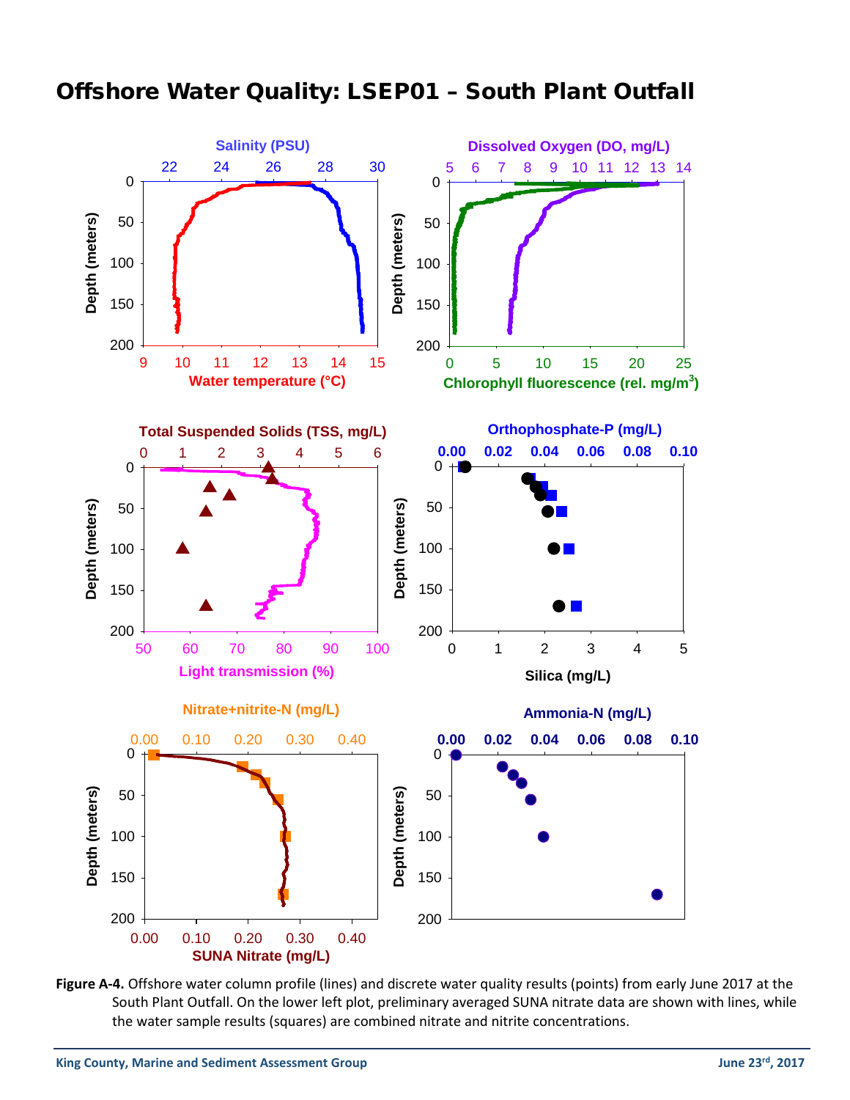



**Figure A-4.** Offshore water column profile (lines) and discrete water quality results (points) from early June 2017 at the South Plant Outfall. On the lower left plot, preliminary averaged SUNA nitrate data are shown with lines, while the water sample results (squares) are combined nitrate and nitrite concentrations.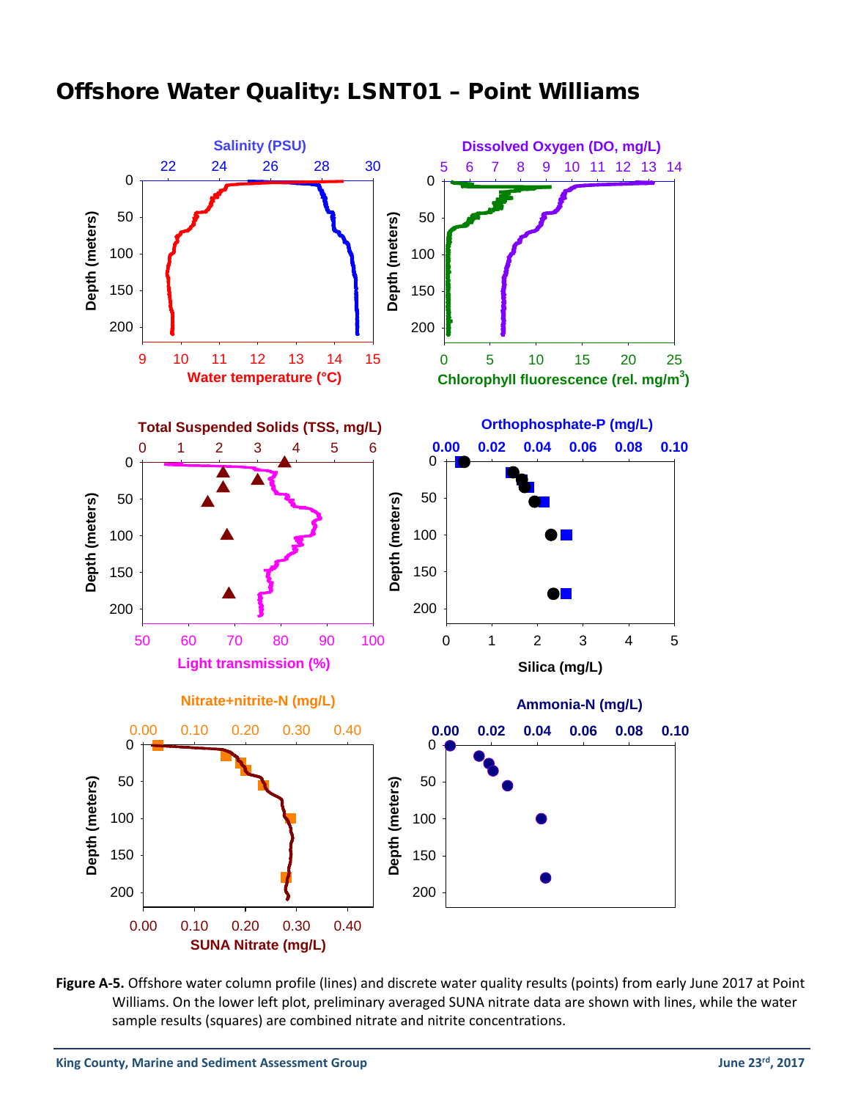

## Offshore Water Quality: LSNT01 – Point Williams

**Figure A-5.** Offshore water column profile (lines) and discrete water quality results (points) from early June 2017 at Point Williams. On the lower left plot, preliminary averaged SUNA nitrate data are shown with lines, while the water sample results (squares) are combined nitrate and nitrite concentrations.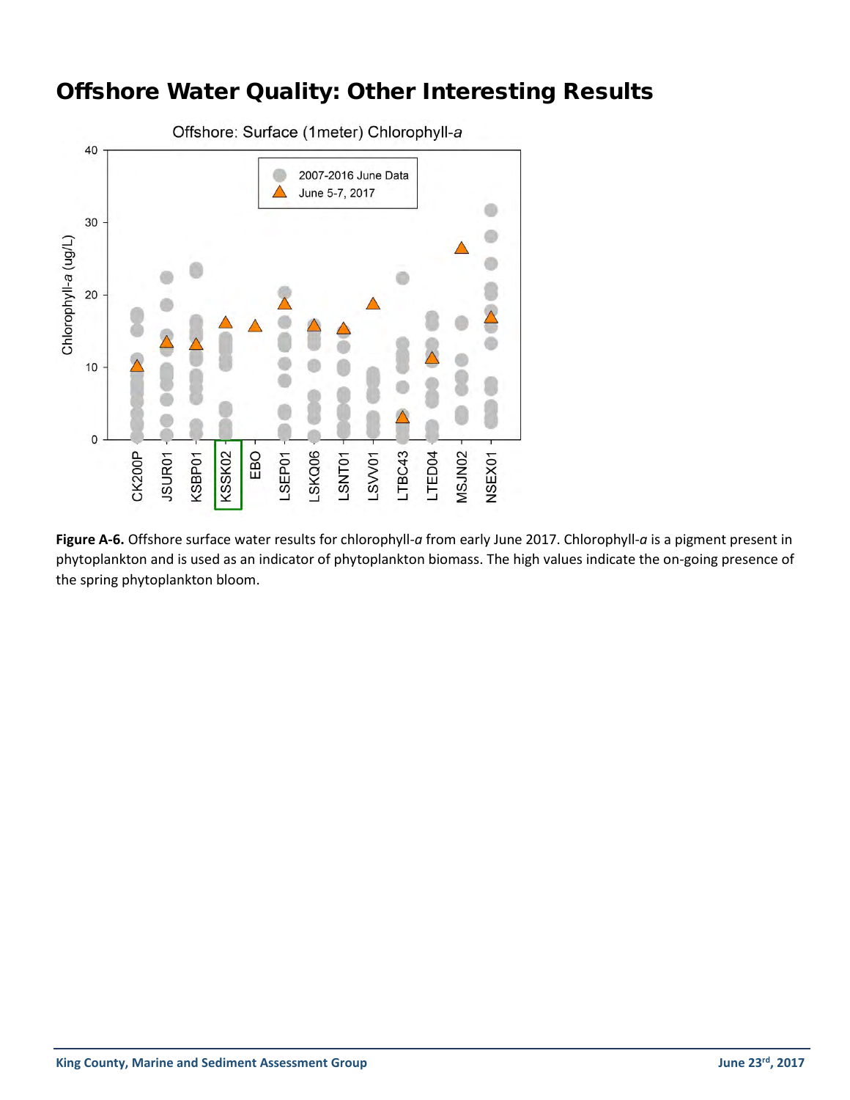## Offshore Water Quality: Other Interesting Results



**Figure A-6.** Offshore surface water results for chlorophyll-*a* from early June 2017. Chlorophyll-*a* is a pigment present in phytoplankton and is used as an indicator of phytoplankton biomass. The high values indicate the on-going presence of the spring phytoplankton bloom.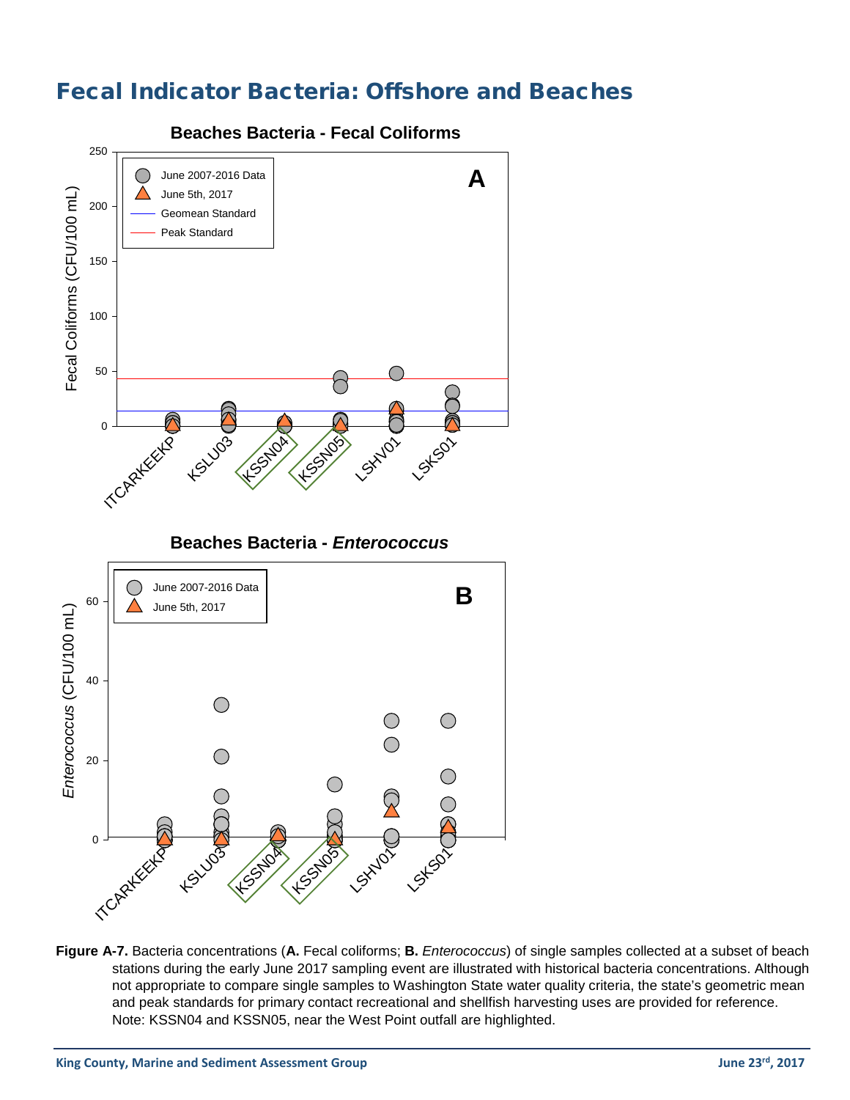## Fecal Indicator Bacteria: Offshore and Beaches



**Figure A-7.** Bacteria concentrations (**A.** Fecal coliforms; **B.** *Enterococcus*) of single samples collected at a subset of beach stations during the early June 2017 sampling event are illustrated with historical bacteria concentrations. Although not appropriate to compare single samples to Washington State water quality criteria, the state's geometric mean and peak standards for primary contact recreational and shellfish harvesting uses are provided for reference. Note: KSSN04 and KSSN05, near the West Point outfall are highlighted.